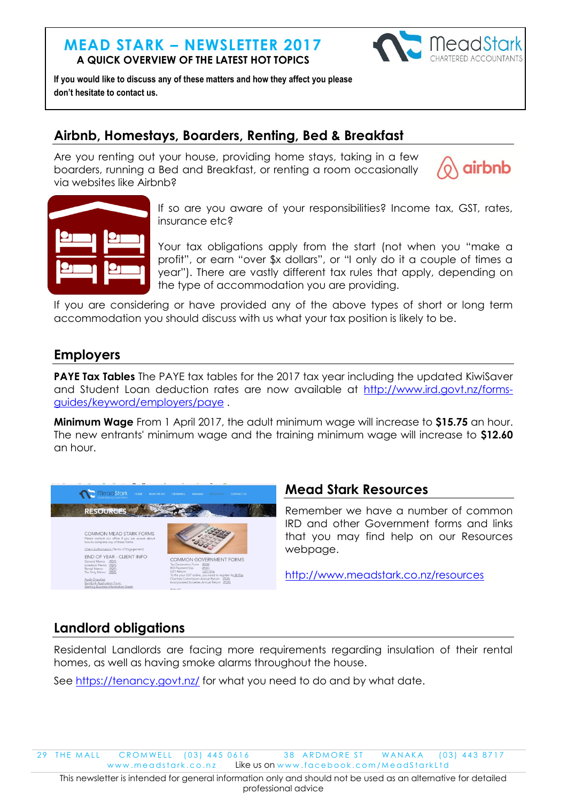## **MEAD STARK – NEWSLETTER 2017 A QUICK OVERVIEW OF THE LATEST HOT TOPICS**



**If you would like to discuss any of these matters and how they affect you please don't hesitate to contact us.**

# **Airbnb, Homestays, Boarders, Renting, Bed & Breakfast**

Are you renting out your house, providing home stays, taking in a few boarders, running a Bed and Breakfast, or renting a room occasionally via websites like Airbnb?





If so are you aware of your responsibilities? Income tax, GST, rates, insurance etc?

Your tax obligations apply from the start (not when you "make a profit", or earn "over \$x dollars", or "I only do it a couple of times a year"). There are vastly different tax rules that apply, depending on the type of accommodation you are providing.

If you are considering or have provided any of the above types of short or long term accommodation you should discuss with us what your tax position is likely to be.

# **Employers**

**PAYE Tax Tables** The PAYE tax tables for the 2017 tax year including the updated KiwiSaver and Student Loan deduction rates are now available at [http://www.ird.govt.nz/forms](http://www.ird.govt.nz/forms-guides/keyword/employers/paye)[guides/keyword/employers/paye](http://www.ird.govt.nz/forms-guides/keyword/employers/paye) .

**Minimum Wage** From 1 April 2017, the adult minimum wage will increase to **\$15.75** an hour. The new entrants' minimum wage and the training minimum wage will increase to **\$12.60** an hour.



# **Mead Stark Resources**

Remember we have a number of common IRD and other Government forms and links that you may find help on our Resources webpage.

<http://www.meadstark.co.nz/resources>

# **Landlord obligations**

Residental Landlords are facing more requirements regarding insulation of their rental homes, as well as having smoke alarms throughout the house.

See<https://tenancy.govt.nz/> for what you need to do and by what date.

29 THE MALL CROMWELL (03) 445 0616 38 ARDMORE ST WANAKA (03) 443 8717 www.meadstark.co.nz Like us on www.facebook.com/MeadStarkLtd

This newsletter is intended for general information only and should not be used as an alternative for detailed professional advice